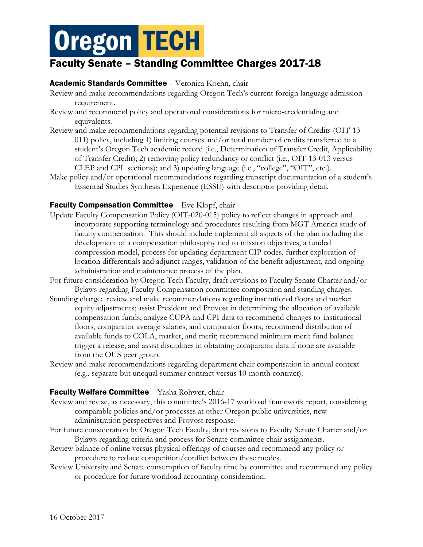# **Oregon TECH**

# Faculty Senate – Standing Committee Charges 2017-18

### Academic Standards Committee – Veronica Koehn, chair

- Review and make recommendations regarding Oregon Tech's current foreign language admission requirement.
- Review and recommend policy and operational considerations for micro-credentialing and equivalents.
- Review and make recommendations regarding potential revisions to Transfer of Credits (OIT-13- 011) policy, including 1) limiting courses and/or total number of credits transferred to a student's Oregon Tech academic record (i.e., Determination of Transfer Credit, Applicability of Transfer Credit); 2) removing policy redundancy or conflict (i.e., OIT-13-013 versus CLEP and CPL sections); and 3) updating language (i.e., "college", "OIT", etc.).
- Make policy and/or operational recommendations regarding transcript documentation of a student's Essential Studies Synthesis Experience (ESSE) with descriptor providing detail.

## Faculty Compensation Committee – Eve Klopf, chair

- Update Faculty Compensation Policy (OIT-020-015) policy to reflect changes in approach and incorporate supporting terminology and procedures resulting from MGT America study of faculty compensation. This should include implement all aspects of the plan including the development of a compensation philosophy tied to mission objectives, a funded compression model, process for updating department CIP codes, further exploration of location differentials and adjunct ranges, validation of the benefit adjustment, and ongoing administration and maintenance process of the plan.
- For future consideration by Oregon Tech Faculty, draft revisions to Faculty Senate Charter and/or Bylaws regarding Faculty Compensation committee composition and standing charges.
- Standing charge: review and make recommendations regarding institutional floors and market equity adjustments; assist President and Provost in determining the allocation of available compensation funds; analyze CUPA and CPI data to recommend changes to institutional floors, comparator average salaries, and comparator floors; recommend distribution of available funds to COLA, market, and merit; recommend minimum merit fund balance trigger a release; and assist disciplines in obtaining comparator data if none are available from the OUS peer group.
- Review and make recommendations regarding department chair compensation in annual context (e.g., separate but unequal summer contract versus 10-month contract).

#### Faculty Welfare Committee – Yasha Rohwer, chair

- Review and revise, as necessary, this committee's 2016-17 workload framework report, considering comparable policies and/or processes at other Oregon public universities, new administration perspectives and Provost response.
- For future consideration by Oregon Tech Faculty, draft revisions to Faculty Senate Charter and/or Bylaws regarding criteria and process for Senate committee chair assignments.
- Review balance of online versus physical offerings of courses and recommend any policy or procedure to reduce competition/conflict between these modes.
- Review University and Senate consumption of faculty time by committee and recommend any policy or procedure for future workload accounting consideration.